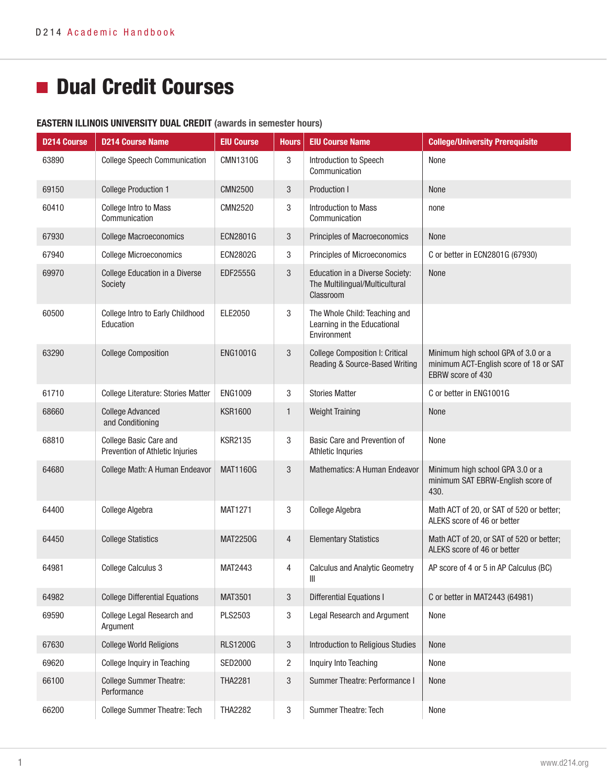# **Dual Credit Courses**

#### EASTERN ILLINOIS UNIVERSITY DUAL CREDIT (awards in semester hours)

| <b>D214 Course</b> | <b>D214 Course Name</b>                                   | <b>EIU Course</b> | <b>Hours</b>   | <b>EIU Course Name</b>                                                         | <b>College/University Prerequisite</b>                                                             |
|--------------------|-----------------------------------------------------------|-------------------|----------------|--------------------------------------------------------------------------------|----------------------------------------------------------------------------------------------------|
| 63890              | <b>College Speech Communication</b>                       | <b>CMN1310G</b>   | 3              | Introduction to Speech<br>Communication                                        | None                                                                                               |
| 69150              | <b>College Production 1</b>                               | <b>CMN2500</b>    | $3\,$          | Production I                                                                   | <b>None</b>                                                                                        |
| 60410              | <b>College Intro to Mass</b><br>Communication             | <b>CMN2520</b>    | 3              | <b>Introduction to Mass</b><br>Communication                                   | none                                                                                               |
| 67930              | <b>College Macroeconomics</b>                             | ECN2801G          | $3\,$          | Principles of Macroeconomics                                                   | None                                                                                               |
| 67940              | <b>College Microeconomics</b>                             | <b>ECN2802G</b>   | $\sqrt{3}$     | Principles of Microeconomics                                                   | C or better in ECN2801G (67930)                                                                    |
| 69970              | College Education in a Diverse<br>Society                 | EDF2555G          | $\sqrt{3}$     | Education in a Diverse Society:<br>The Multilingual/Multicultural<br>Classroom | None                                                                                               |
| 60500              | College Intro to Early Childhood<br>Education             | ELE2050           | 3              | The Whole Child: Teaching and<br>Learning in the Educational<br>Environment    |                                                                                                    |
| 63290              | <b>College Composition</b>                                | <b>ENG1001G</b>   | $\sqrt{3}$     | <b>College Composition I: Critical</b><br>Reading & Source-Based Writing       | Minimum high school GPA of 3.0 or a<br>minimum ACT-English score of 18 or SAT<br>EBRW score of 430 |
| 61710              | <b>College Literature: Stories Matter</b>                 | <b>ENG1009</b>    | $\mathbf{3}$   | <b>Stories Matter</b>                                                          | C or better in ENG1001G                                                                            |
| 68660              | <b>College Advanced</b><br>and Conditioning               | <b>KSR1600</b>    | $\mathbf{1}$   | <b>Weight Training</b>                                                         | None                                                                                               |
| 68810              | College Basic Care and<br>Prevention of Athletic Injuries | <b>KSR2135</b>    | $\mathbf{3}$   | Basic Care and Prevention of<br><b>Athletic Inquries</b>                       | None                                                                                               |
| 64680              | College Math: A Human Endeavor                            | <b>MAT1160G</b>   | 3              | Mathematics: A Human Endeavor                                                  | Minimum high school GPA 3.0 or a<br>minimum SAT EBRW-English score of<br>430.                      |
| 64400              | College Algebra                                           | <b>MAT1271</b>    | 3              | College Algebra                                                                | Math ACT of 20, or SAT of 520 or better;<br>ALEKS score of 46 or better                            |
| 64450              | <b>College Statistics</b>                                 | <b>MAT2250G</b>   | $\overline{4}$ | <b>Elementary Statistics</b>                                                   | Math ACT of 20, or SAT of 520 or better;<br>ALEKS score of 46 or better                            |
| 64981              | College Calculus 3                                        | <b>MAT2443</b>    | 4              | <b>Calculus and Analytic Geometry</b><br>Ш                                     | AP score of 4 or 5 in AP Calculus (BC)                                                             |
| 64982              | <b>College Differential Equations</b>                     | <b>MAT3501</b>    | 3              | Differential Equations I                                                       | C or better in MAT2443 (64981)                                                                     |
| 69590              | College Legal Research and<br>Argument                    | PLS2503           | 3              | Legal Research and Argument                                                    | None                                                                                               |
| 67630              | <b>College World Religions</b>                            | <b>RLS1200G</b>   | $3\,$          | Introduction to Religious Studies                                              | <b>None</b>                                                                                        |
| 69620              | <b>College Inquiry in Teaching</b>                        | SED2000           | $\overline{c}$ | Inquiry Into Teaching                                                          | None                                                                                               |
| 66100              | <b>College Summer Theatre:</b><br>Performance             | <b>THA2281</b>    | $\sqrt{3}$     | Summer Theatre: Performance I                                                  | None                                                                                               |
| 66200              | <b>College Summer Theatre: Tech</b>                       | <b>THA2282</b>    | 3              | Summer Theatre: Tech                                                           | None                                                                                               |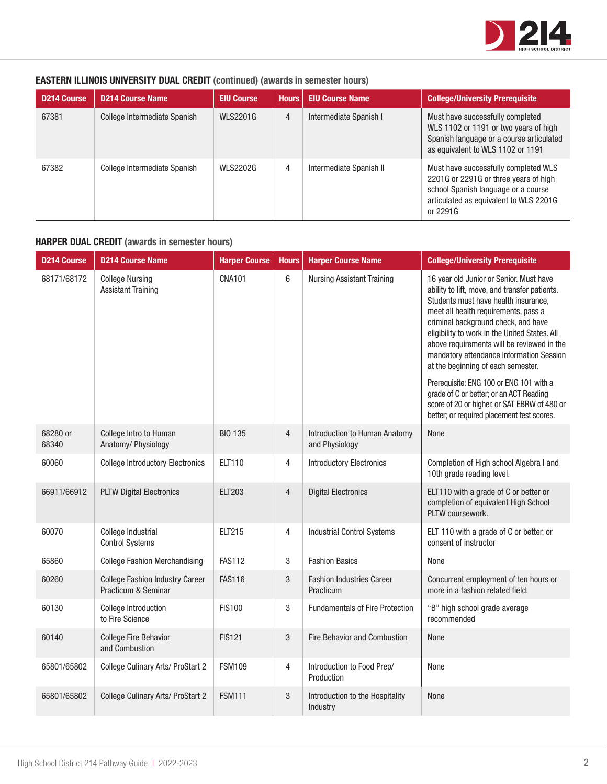

# EASTERN ILLINOIS UNIVERSITY DUAL CREDIT (continued) (awards in semester hours)

| <b>D214 Course</b> | <b>D214 Course Name</b>      | <b>EIU Course</b> | <b>Hours</b> | <b>EIU Course Name</b>  | <b>College/University Prerequisite</b>                                                                                                                                     |
|--------------------|------------------------------|-------------------|--------------|-------------------------|----------------------------------------------------------------------------------------------------------------------------------------------------------------------------|
| 67381              | College Intermediate Spanish | <b>WLS2201G</b>   | 4            | Intermediate Spanish I  | Must have successfully completed<br>WLS 1102 or 1191 or two years of high<br>Spanish language or a course articulated<br>as equivalent to WLS 1102 or 1191                 |
| 67382              | College Intermediate Spanish | <b>WLS2202G</b>   | 4            | Intermediate Spanish II | Must have successfully completed WLS<br>2201G or 2291G or three years of high<br>school Spanish language or a course<br>articulated as equivalent to WLS 2201G<br>or 2291G |

# HARPER DUAL CREDIT (awards in semester hours)

| <b>D214 Course</b> | <b>D214 Course Name</b>                                       | <b>Harper Course</b> | <b>Hours</b>   | <b>Harper Course Name</b>                       | <b>College/University Prerequisite</b>                                                                                                                                                                                                                                                                                                                                                                                                                                                                                                                                               |
|--------------------|---------------------------------------------------------------|----------------------|----------------|-------------------------------------------------|--------------------------------------------------------------------------------------------------------------------------------------------------------------------------------------------------------------------------------------------------------------------------------------------------------------------------------------------------------------------------------------------------------------------------------------------------------------------------------------------------------------------------------------------------------------------------------------|
| 68171/68172        | <b>College Nursing</b><br><b>Assistant Training</b>           | <b>CNA101</b>        | $\,6$          | <b>Nursing Assistant Training</b>               | 16 year old Junior or Senior. Must have<br>ability to lift, move, and transfer patients.<br>Students must have health insurance,<br>meet all health requirements, pass a<br>criminal background check, and have<br>eligibility to work in the United States. All<br>above requirements will be reviewed in the<br>mandatory attendance Information Session<br>at the beginning of each semester.<br>Prerequisite: ENG 100 or ENG 101 with a<br>grade of C or better; or an ACT Reading<br>score of 20 or higher, or SAT EBRW of 480 or<br>better; or required placement test scores. |
| 68280 or<br>68340  | College Intro to Human<br>Anatomy/ Physiology                 | <b>BIO 135</b>       | $\overline{4}$ | Introduction to Human Anatomy<br>and Physiology | None                                                                                                                                                                                                                                                                                                                                                                                                                                                                                                                                                                                 |
| 60060              | <b>College Introductory Electronics</b>                       | ELT110               | 4              | <b>Introductory Electronics</b>                 | Completion of High school Algebra I and<br>10th grade reading level.                                                                                                                                                                                                                                                                                                                                                                                                                                                                                                                 |
| 66911/66912        | <b>PLTW Digital Electronics</b>                               | <b>ELT203</b>        | $\overline{4}$ | <b>Digital Electronics</b>                      | ELT110 with a grade of C or better or<br>completion of equivalent High School<br>PLTW coursework.                                                                                                                                                                                                                                                                                                                                                                                                                                                                                    |
| 60070              | College Industrial<br><b>Control Systems</b>                  | <b>ELT215</b>        | 4              | <b>Industrial Control Systems</b>               | ELT 110 with a grade of C or better, or<br>consent of instructor                                                                                                                                                                                                                                                                                                                                                                                                                                                                                                                     |
| 65860              | <b>College Fashion Merchandising</b>                          | <b>FAS112</b>        | 3              | <b>Fashion Basics</b>                           | None                                                                                                                                                                                                                                                                                                                                                                                                                                                                                                                                                                                 |
| 60260              | <b>College Fashion Industry Career</b><br>Practicum & Seminar | <b>FAS116</b>        | 3              | <b>Fashion Industries Career</b><br>Practicum   | Concurrent employment of ten hours or<br>more in a fashion related field.                                                                                                                                                                                                                                                                                                                                                                                                                                                                                                            |
| 60130              | College Introduction<br>to Fire Science                       | <b>FIS100</b>        | 3              | <b>Fundamentals of Fire Protection</b>          | "B" high school grade average<br>recommended                                                                                                                                                                                                                                                                                                                                                                                                                                                                                                                                         |
| 60140              | <b>College Fire Behavior</b><br>and Combustion                | <b>FIS121</b>        | $\sqrt{3}$     | Fire Behavior and Combustion                    | None                                                                                                                                                                                                                                                                                                                                                                                                                                                                                                                                                                                 |
| 65801/65802        | College Culinary Arts/ ProStart 2                             | <b>FSM109</b>        | 4              | Introduction to Food Prep/<br>Production        | None                                                                                                                                                                                                                                                                                                                                                                                                                                                                                                                                                                                 |
| 65801/65802        | College Culinary Arts/ ProStart 2                             | <b>FSM111</b>        | 3              | Introduction to the Hospitality<br>Industry     | None                                                                                                                                                                                                                                                                                                                                                                                                                                                                                                                                                                                 |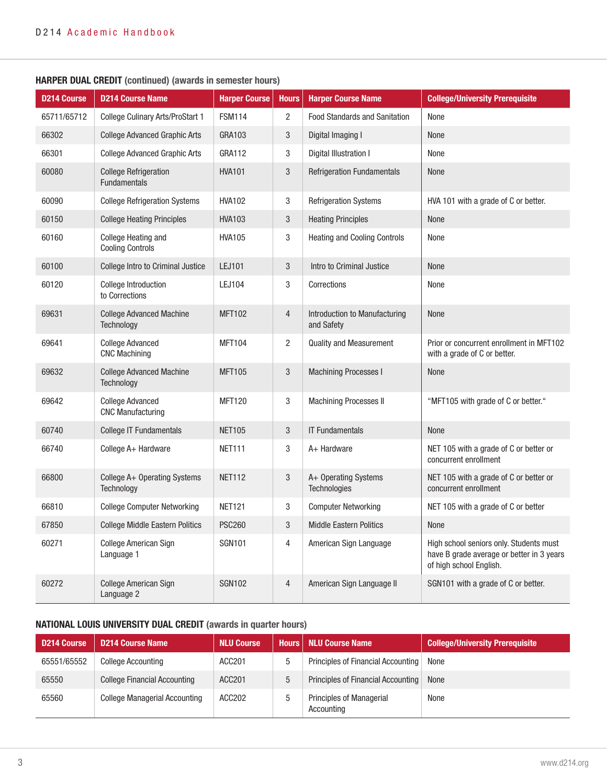| <b>D214 Course</b> | <b>D214 Course Name</b>                               | <b>Harper Course</b> | <b>Hours</b>   | <b>Harper Course Name</b>                   | <b>College/University Prerequisite</b>                                                                          |
|--------------------|-------------------------------------------------------|----------------------|----------------|---------------------------------------------|-----------------------------------------------------------------------------------------------------------------|
| 65711/65712        | College Culinary Arts/ProStart 1                      | <b>FSM114</b>        | $\overline{c}$ | <b>Food Standards and Sanitation</b>        | None                                                                                                            |
| 66302              | <b>College Advanced Graphic Arts</b>                  | GRA103               | $\sqrt{3}$     | Digital Imaging I                           | None                                                                                                            |
| 66301              | <b>College Advanced Graphic Arts</b>                  | GRA112               | 3              | Digital Illustration I                      | None                                                                                                            |
| 60080              | <b>College Refrigeration</b><br><b>Fundamentals</b>   | <b>HVA101</b>        | $\sqrt{3}$     | <b>Refrigeration Fundamentals</b>           | None                                                                                                            |
| 60090              | <b>College Refrigeration Systems</b>                  | <b>HVA102</b>        | 3              | <b>Refrigeration Systems</b>                | HVA 101 with a grade of C or better.                                                                            |
| 60150              | <b>College Heating Principles</b>                     | <b>HVA103</b>        | $\mathbf{3}$   | <b>Heating Principles</b>                   | None                                                                                                            |
| 60160              | <b>College Heating and</b><br><b>Cooling Controls</b> | <b>HVA105</b>        | 3              | <b>Heating and Cooling Controls</b>         | None                                                                                                            |
| 60100              | College Intro to Criminal Justice                     | LEJ101               | $\sqrt{3}$     | Intro to Criminal Justice                   | None                                                                                                            |
| 60120              | <b>College Introduction</b><br>to Corrections         | <b>LEJ104</b>        | 3              | Corrections                                 | None                                                                                                            |
| 69631              | <b>College Advanced Machine</b><br><b>Technology</b>  | <b>MFT102</b>        | $\sqrt{4}$     | Introduction to Manufacturing<br>and Safety | None                                                                                                            |
| 69641              | <b>College Advanced</b><br><b>CNC Machining</b>       | <b>MFT104</b>        | $\overline{2}$ | <b>Quality and Measurement</b>              | Prior or concurrent enrollment in MFT102<br>with a grade of C or better.                                        |
| 69632              | <b>College Advanced Machine</b><br><b>Technology</b>  | <b>MFT105</b>        | $\sqrt{3}$     | <b>Machining Processes I</b>                | None                                                                                                            |
| 69642              | <b>College Advanced</b><br><b>CNC Manufacturing</b>   | <b>MFT120</b>        | 3              | Machining Processes II                      | "MFT105 with grade of C or better."                                                                             |
| 60740              | College IT Fundamentals                               | <b>NET105</b>        | $\sqrt{3}$     | <b>IT Fundamentals</b>                      | None                                                                                                            |
| 66740              | College A+ Hardware                                   | <b>NET111</b>        | $\sqrt{3}$     | A+ Hardware                                 | NET 105 with a grade of C or better or<br>concurrent enrollment                                                 |
| 66800              | College A+ Operating Systems<br><b>Technology</b>     | <b>NET112</b>        | $\sqrt{3}$     | A+ Operating Systems<br><b>Technologies</b> | NET 105 with a grade of C or better or<br>concurrent enrollment                                                 |
| 66810              | <b>College Computer Networking</b>                    | <b>NET121</b>        | 3              | <b>Computer Networking</b>                  | NET 105 with a grade of C or better                                                                             |
| 67850              | <b>College Middle Eastern Politics</b>                | <b>PSC260</b>        | $\sqrt{3}$     | <b>Middle Eastern Politics</b>              | None                                                                                                            |
| 60271              | College American Sign<br>Language 1                   | <b>SGN101</b>        | $\overline{4}$ | American Sign Language                      | High school seniors only. Students must<br>have B grade average or better in 3 years<br>of high school English. |
| 60272              | <b>College American Sign</b><br>Language 2            | <b>SGN102</b>        | $\overline{4}$ | American Sign Language II                   | SGN101 with a grade of C or better.                                                                             |

## HARPER DUAL CREDIT (continued) (awards in semester hours)

# NATIONAL LOUIS UNIVERSITY DUAL CREDIT (awards in quarter hours)

| D214 Course | D214 Course Name                     | <b>NLU Course</b> |   | <b>Hours   NLU Course Name</b>                | <b>College/University Prerequisite</b> |
|-------------|--------------------------------------|-------------------|---|-----------------------------------------------|----------------------------------------|
| 65551/65552 | <b>College Accounting</b>            | ACC201            |   | Principles of Financial Accounting            | None                                   |
| 65550       | <b>College Financial Accounting</b>  | ACC201            | ხ | Principles of Financial Accounting            | <b>None</b>                            |
| 65560       | <b>College Managerial Accounting</b> | ACC202            |   | <b>Principles of Managerial</b><br>Accounting | None                                   |